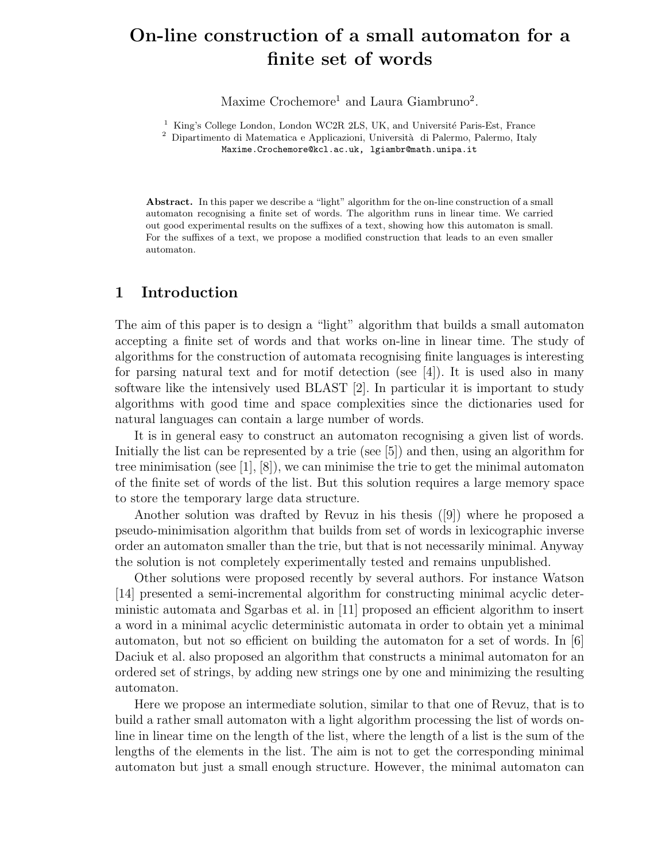# On-line construction of a small automaton for a finite set of words

Maxime Crochemore<sup>1</sup> and Laura Giambruno<sup>2</sup>.

 $1$  King's College London, London WC2R 2LS, UK, and Université Paris-Est, France

 $^{\rm 2}$  Dipartimento di Matematica e Applicazioni, Università di Palermo, Palermo, Italy Maxime.Crochemore@kcl.ac.uk, lgiambr@math.unipa.it

Abstract. In this paper we describe a "light" algorithm for the on-line construction of a small automaton recognising a finite set of words. The algorithm runs in linear time. We carried out good experimental results on the suffixes of a text, showing how this automaton is small. For the suffixes of a text, we propose a modified construction that leads to an even smaller automaton.

# 1 Introduction

The aim of this paper is to design a "light" algorithm that builds a small automaton accepting a finite set of words and that works on-line in linear time. The study of algorithms for the construction of automata recognising finite languages is interesting for parsing natural text and for motif detection (see [4]). It is used also in many software like the intensively used BLAST [2]. In particular it is important to study algorithms with good time and space complexities since the dictionaries used for natural languages can contain a large number of words.

It is in general easy to construct an automaton recognising a given list of words. Initially the list can be represented by a trie (see [5]) and then, using an algorithm for tree minimisation (see [1], [8]), we can minimise the trie to get the minimal automaton of the finite set of words of the list. But this solution requires a large memory space to store the temporary large data structure.

Another solution was drafted by Revuz in his thesis ([9]) where he proposed a pseudo-minimisation algorithm that builds from set of words in lexicographic inverse order an automaton smaller than the trie, but that is not necessarily minimal. Anyway the solution is not completely experimentally tested and remains unpublished.

Other solutions were proposed recently by several authors. For instance Watson [14] presented a semi-incremental algorithm for constructing minimal acyclic deterministic automata and Sgarbas et al. in [11] proposed an efficient algorithm to insert a word in a minimal acyclic deterministic automata in order to obtain yet a minimal automaton, but not so efficient on building the automaton for a set of words. In [6] Daciuk et al. also proposed an algorithm that constructs a minimal automaton for an ordered set of strings, by adding new strings one by one and minimizing the resulting automaton.

Here we propose an intermediate solution, similar to that one of Revuz, that is to build a rather small automaton with a light algorithm processing the list of words online in linear time on the length of the list, where the length of a list is the sum of the lengths of the elements in the list. The aim is not to get the corresponding minimal automaton but just a small enough structure. However, the minimal automaton can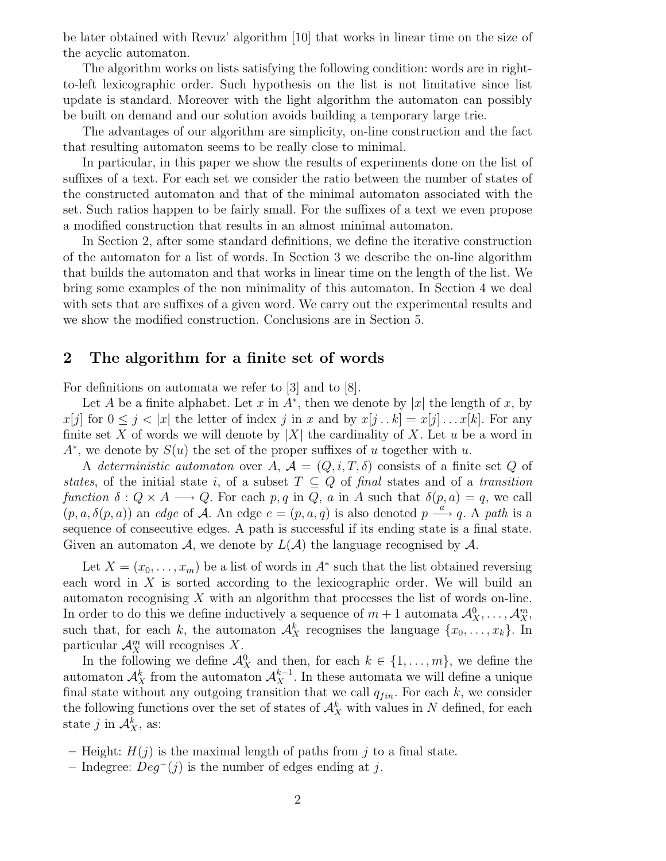be later obtained with Revuz' algorithm [10] that works in linear time on the size of the acyclic automaton.

The algorithm works on lists satisfying the following condition: words are in rightto-left lexicographic order. Such hypothesis on the list is not limitative since list update is standard. Moreover with the light algorithm the automaton can possibly be built on demand and our solution avoids building a temporary large trie.

The advantages of our algorithm are simplicity, on-line construction and the fact that resulting automaton seems to be really close to minimal.

In particular, in this paper we show the results of experiments done on the list of suffixes of a text. For each set we consider the ratio between the number of states of the constructed automaton and that of the minimal automaton associated with the set. Such ratios happen to be fairly small. For the suffixes of a text we even propose a modified construction that results in an almost minimal automaton.

In Section 2, after some standard definitions, we define the iterative construction of the automaton for a list of words. In Section 3 we describe the on-line algorithm that builds the automaton and that works in linear time on the length of the list. We bring some examples of the non minimality of this automaton. In Section 4 we deal with sets that are suffixes of a given word. We carry out the experimental results and we show the modified construction. Conclusions are in Section 5.

### 2 The algorithm for a finite set of words

For definitions on automata we refer to [3] and to [8].

Let A be a finite alphabet. Let x in  $A^*$ , then we denote by |x| the length of x, by  $x[j]$  for  $0 \leq j < |x|$  the letter of index j in x and by  $x[j...k] = x[j] \dots x[k]$ . For any finite set X of words we will denote by |X| the cardinality of X. Let u be a word in  $A^*$ , we denote by  $S(u)$  the set of the proper suffixes of u together with u.

A deterministic automaton over A,  $\mathcal{A} = (Q, i, T, \delta)$  consists of a finite set Q of states, of the initial state i, of a subset  $T \subseteq Q$  of final states and of a transition function  $\delta: Q \times A \longrightarrow Q$ . For each p, q in Q, a in A such that  $\delta(p, a) = q$ , we call  $(p, a, \delta(p, a))$  an edge of A. An edge  $e = (p, a, q)$  is also denoted  $p \stackrel{a}{\longrightarrow} q$ . A path is a sequence of consecutive edges. A path is successful if its ending state is a final state. Given an automaton A, we denote by  $L(\mathcal{A})$  the language recognised by  $\mathcal{A}$ .

Let  $X = (x_0, \ldots, x_m)$  be a list of words in  $A^*$  such that the list obtained reversing each word in X is sorted according to the lexicographic order. We will build an automaton recognising X with an algorithm that processes the list of words on-line. In order to do this we define inductively a sequence of  $m+1$  automata  $\mathcal{A}_X^0, \ldots, \mathcal{A}_X^m$ , such that, for each k, the automaton  $\mathcal{A}_{X}^{k}$  recognises the language  $\{x_0, \ldots, x_k\}$ . In particular  $\mathcal{A}_{X}^{m}$  will recognises X.

In the following we define  $\mathcal{A}_{X}^{0}$  and then, for each  $k \in \{1, \ldots, m\}$ , we define the automaton  $\mathcal{A}_{X}^{k}$  from the automaton  $\mathcal{A}_{X}^{k-1}$ . In these automata we will define a unique final state without any outgoing transition that we call  $q_{fin}$ . For each k, we consider the following functions over the set of states of  $\mathcal{A}_{X}^{k}$  with values in N defined, for each state *j* in  $\mathcal{A}_X^k$ , as:

- Height:  $H(j)$  is the maximal length of paths from j to a final state.
- Indegree:  $Deg^{-}(j)$  is the number of edges ending at j.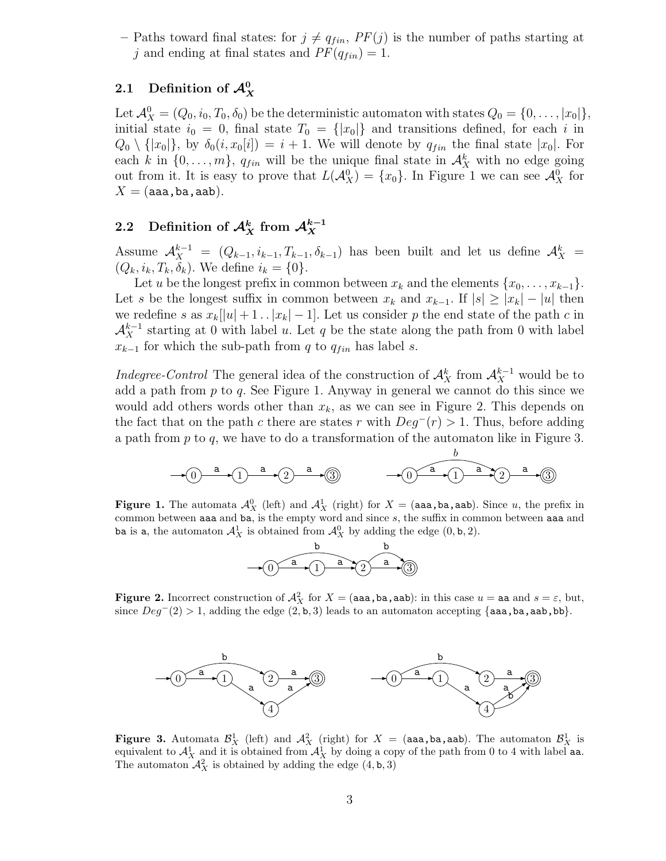– Paths toward final states: for  $j \neq q_{fin}$ ,  $PF(j)$  is the number of paths starting at j and ending at final states and  $PF(q_{fin}) = 1$ .

# 2.1 Definition of  $\mathcal{A}_{X}^{0}$

Let  $\mathcal{A}_X^0 = (Q_0, i_0, T_0, \delta_0)$  be the deterministic automaton with states  $Q_0 = \{0, \ldots, |x_0|\},$ initial state  $i_0 = 0$ , final state  $T_0 = \{|x_0|\}$  and transitions defined, for each i in  $Q_0 \setminus \{|x_0|\}$ , by  $\delta_0(i, x_0[i]) = i + 1$ . We will denote by  $q_{fin}$  the final state  $|x_0|$ . For each k in  $\{0, \ldots, m\}$ ,  $q_{fin}$  will be the unique final state in  $\mathcal{A}_{X}^{k}$  with no edge going out from it. It is easy to prove that  $L(\mathcal{A}_{X}^{0}) = \{x_0\}$ . In Figure 1 we can see  $\mathcal{A}_{X}^{0}$  for  $X = (aaa,ba,aab).$ 

#### 2.2 Definition of  ${\cal A}_X^k$  from  ${\cal A}_X^{k-1}$ X

Assume  $\mathcal{A}_{X}^{k-1} = (Q_{k-1}, i_{k-1}, T_{k-1}, \delta_{k-1})$  has been built and let us define  $\mathcal{A}_{X}^{k} =$  $(Q_k, i_k, T_k, \delta_k)$ . We define  $i_k = \{0\}$ .

Let u be the longest prefix in common between  $x_k$  and the elements  $\{x_0, \ldots, x_{k-1}\}.$ Let s be the longest suffix in common between  $x_k$  and  $x_{k-1}$ . If  $|s| \geq |x_k| - |u|$  then we redefine s as  $x_k[|u|+1 \tldots |x_k|-1]$ . Let us consider p the end state of the path c in  $\mathcal{A}_{X}^{k-1}$  starting at 0 with label u. Let q be the state along the path from 0 with label  $x_{k-1}$  for which the sub-path from q to  $q_{fin}$  has label s.

*Indegree-Control* The general idea of the construction of  $\mathcal{A}_{X}^{k}$  from  $\mathcal{A}_{X}^{k-1}$  would be to add a path from  $p$  to  $q$ . See Figure 1. Anyway in general we cannot do this since we would add others words other than  $x_k$ , as we can see in Figure 2. This depends on the fact that on the path c there are states r with  $Deg^-(r) > 1$ . Thus, before adding a path from  $p$  to  $q$ , we have to do a transformation of the automaton like in Figure 3.



**Figure 1.** The automata  $\mathcal{A}_{X}^{0}$  (left) and  $\mathcal{A}_{X}^{1}$  (right) for  $X = (aaa,ba,aab)$ . Since u, the prefix in common between aaa and ba, is the empty word and since s, the suffix in common between aaa and ba is a, the automaton  $\mathcal{A}_{X}^{1}$  is obtained from  $\mathcal{A}_{X}^{0}$  by adding the edge  $(0, \mathbf{b}, 2)$ .



**Figure 2.** Incorrect construction of  $\mathcal{A}_{X}^{2}$  for  $X = (aaa,ba,aab)$ : in this case  $u = aa$  and  $s = \varepsilon$ , but, since  $Deg^-(2) > 1$ , adding the edge  $(2, b, 3)$  leads to an automaton accepting {aaa,ba,aab,bb}.



**Figure 3.** Automata  $\mathcal{B}_X^1$  (left) and  $\mathcal{A}_X^2$  (right) for  $X = (aaa,ba,aaab)$ . The automaton  $\mathcal{B}_X^1$  is equivalent to  $\mathcal{A}_X^1$  and it is obtained from  $\mathcal{A}_X^1$  by doing a copy of the path from 0 to 4 with label aa. The automaton  $\mathcal{A}_{X}^{2}$  is obtained by adding the edge  $(4, \mathbf{b}, 3)$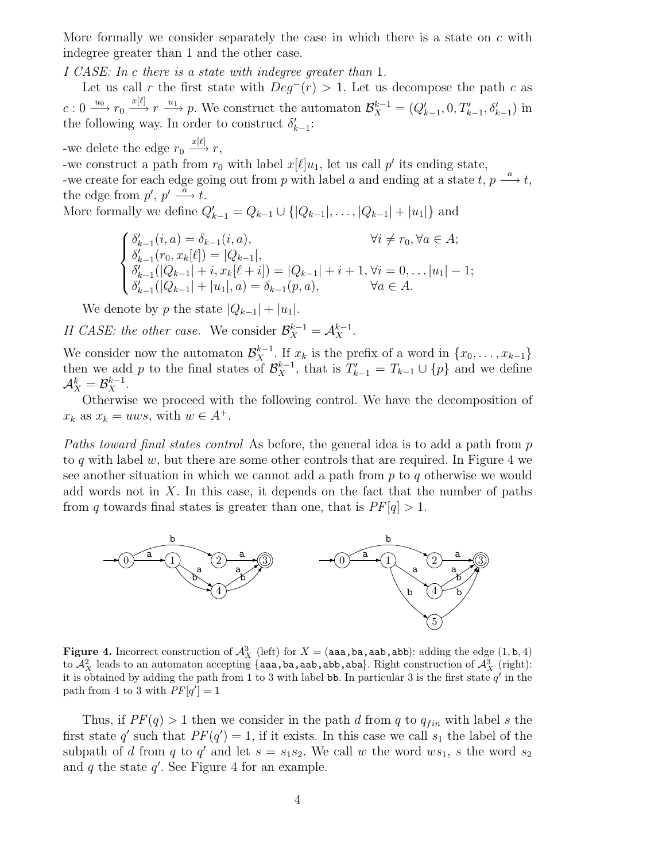More formally we consider separately the case in which there is a state on  $c$  with indegree greater than 1 and the other case.

I CASE: In c there is a state with indegree greater than 1.

Let us call r the first state with  $Deg^{-}(r) > 1$ . Let us decompose the path c as  $c: 0 \longrightarrow r_0 \longrightarrow^{x[\ell]} r \longrightarrow p$ . We construct the automaton  $\mathcal{B}_X^{k-1} = (Q'_{k-1}, 0, T'_{k-1}, \delta'_{k-1})$  in the following way. In order to construct  $\delta'_{k-1}$ :

-we delete the edge  $r_0 \xrightarrow{x[\ell]} r$ , -we construct a path from  $r_0$  with label  $x[\ell]u_1$ , let us call  $p'$  its ending state, -we create for each edge going out from p with label a and ending at a state  $t, p \stackrel{a}{\longrightarrow} t$ , the edge from  $p', p' \stackrel{\alpha}{\longrightarrow} t$ . More formally we define  $Q'_{k-1} = Q_{k-1} \cup \{|Q_{k-1}|, \ldots, |Q_{k-1}| + |u_1|\}$  and

$$
\begin{cases} \delta'_{k-1}(i,a) = \delta_{k-1}(i,a), & \forall i \neq r_0, \forall a \in A; \\ \delta'_{k-1}(r_0, x_k[\ell]) = |Q_{k-1}|, \\ \delta'_{k-1}(|Q_{k-1}| + i, x_k[\ell + i]) = |Q_{k-1}| + i + 1, \forall i = 0, \dots |u_1| - 1; \\ \delta'_{k-1}(|Q_{k-1}| + |u_1|, a) = \delta_{k-1}(p, a), & \forall a \in A. \end{cases}
$$

We denote by p the state  $|Q_{k-1}| + |u_1|$ .

II CASE: the other case. We consider  $\mathcal{B}_{X}^{k-1} = \mathcal{A}_{X}^{k-1}$ .

We consider now the automaton  $\mathcal{B}_{X}^{k-1}$ . If  $x_k$  is the prefix of a word in  $\{x_0, \ldots, x_{k-1}\}$ then we add p to the final states of  $\mathcal{B}_{X}^{k-1}$ , that is  $T'_{k-1} = T_{k-1} \cup \{p\}$  and we define  $\mathcal{A}_{X}^k = \mathcal{B}_{X}^{k-1}.$ 

Otherwise we proceed with the following control. We have the decomposition of  $x_k$  as  $x_k = uws$ , with  $w \in A^+$ .

Paths toward final states control As before, the general idea is to add a path from p to q with label  $w$ , but there are some other controls that are required. In Figure 4 we see another situation in which we cannot add a path from p to q otherwise we would add words not in  $X$ . In this case, it depends on the fact that the number of paths from q towards final states is greater than one, that is  $PF[q] > 1$ .



**Figure 4.** Incorrect construction of  $\mathcal{A}_{X}^{3}$  (left) for  $X = (aaa,ba,aab,abb)$ : adding the edge  $(1, b, 4)$ to  $\mathcal{A}_X^2$  leads to an automaton accepting {aaa,ba,aab,abb,aba}. Right construction of  $\mathcal{A}_X^3$  (right): it is obtained by adding the path from 1 to 3 with label bb. In particular 3 is the first state  $q'$  in the path from 4 to 3 with  $PF[q'] = 1$ 

Thus, if  $PF(q) > 1$  then we consider in the path d from q to  $q_{fin}$  with label s the first state q' such that  $PF(q') = 1$ , if it exists. In this case we call  $s_1$  the label of the subpath of d from q to q' and let  $s = s_1 s_2$ . We call w the word  $ws_1$ , s the word  $s_2$ and  $q$  the state  $q'$ . See Figure 4 for an example.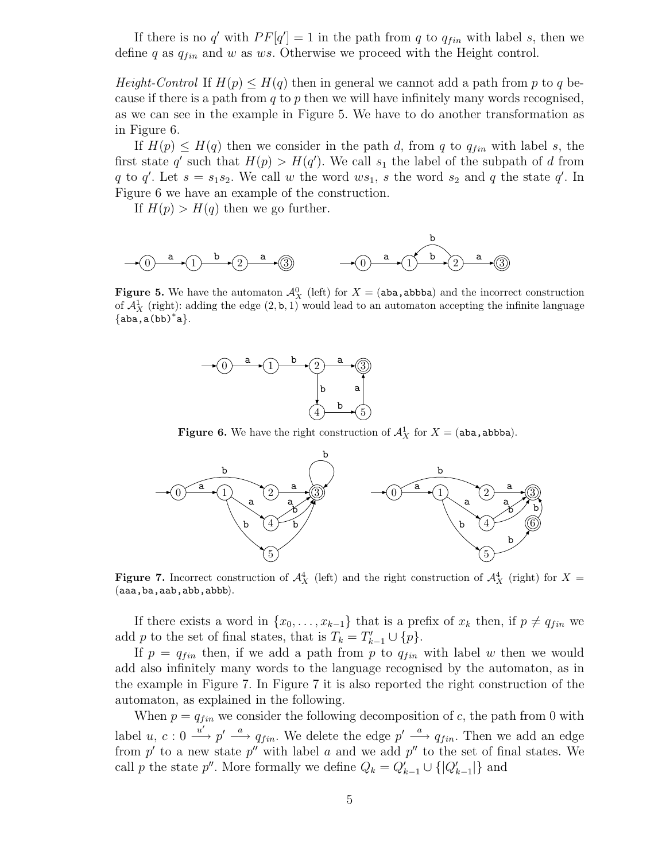If there is no q' with  $PF[q'] = 1$  in the path from q to  $q_{fin}$  with label s, then we define q as  $q_{fin}$  and w as ws. Otherwise we proceed with the Height control.

*Height-Control* If  $H(p) \leq H(q)$  then in general we cannot add a path from p to q because if there is a path from q to p then we will have infinitely many words recognised, as we can see in the example in Figure 5. We have to do another transformation as in Figure 6.

If  $H(p) \leq H(q)$  then we consider in the path d, from q to  $q_{fin}$  with label s, the first state q' such that  $H(p) > H(q')$ . We call  $s_1$  the label of the subpath of d from q to q'. Let  $s = s_1 s_2$ . We call w the word  $ws_1$ , s the word  $s_2$  and q the state q'. In Figure 6 we have an example of the construction.

If  $H(p) > H(q)$  then we go further.

$$
\xrightarrow{\quad b\quad} 0 \xrightarrow{\quad a\quad} 1 \xrightarrow{\quad b\quad} 2 \xrightarrow{\quad a\quad} 3
$$

**Figure 5.** We have the automaton  $\mathcal{A}_{X}^{0}$  (left) for  $X = (aba, abbba)$  and the incorrect construction of  $\mathcal{A}_{X}^{1}$  (right): adding the edge  $(2, \mathbf{b}, 1)$  would lead to an automaton accepting the infinite language  $\{aba, a(bb)^{*'}a\}.$ 



**Figure 6.** We have the right construction of  $\mathcal{A}_{X}^{1}$  for  $X = (aba, abbba)$ .



**Figure 7.** Incorrect construction of  $\mathcal{A}_{X}^{4}$  (left) and the right construction of  $\mathcal{A}_{X}^{4}$  (right) for  $X =$ (aaa,ba,aab,abb,abbb).

If there exists a word in  $\{x_0, \ldots, x_{k-1}\}\$  that is a prefix of  $x_k$  then, if  $p \neq q_{fin}$  we add p to the set of final states, that is  $T_k = T'_{k-1} \cup \{p\}.$ 

If  $p = q_{fin}$  then, if we add a path from p to  $q_{fin}$  with label w then we would add also infinitely many words to the language recognised by the automaton, as in the example in Figure 7. In Figure 7 it is also reported the right construction of the automaton, as explained in the following.

When  $p = q_{fin}$  we consider the following decomposition of c, the path from 0 with label u,  $c: 0 \stackrel{u'}{\longrightarrow} p' \stackrel{a}{\longrightarrow} q_{fin}$ . We delete the edge  $p' \stackrel{a}{\longrightarrow} q_{fin}$ . Then we add an edge from  $p'$  to a new state  $p''$  with label a and we add  $p''$  to the set of final states. We call p the state p''. More formally we define  $Q_k = Q'_{k-1} \cup \{|Q'_{k-1}|\}$  and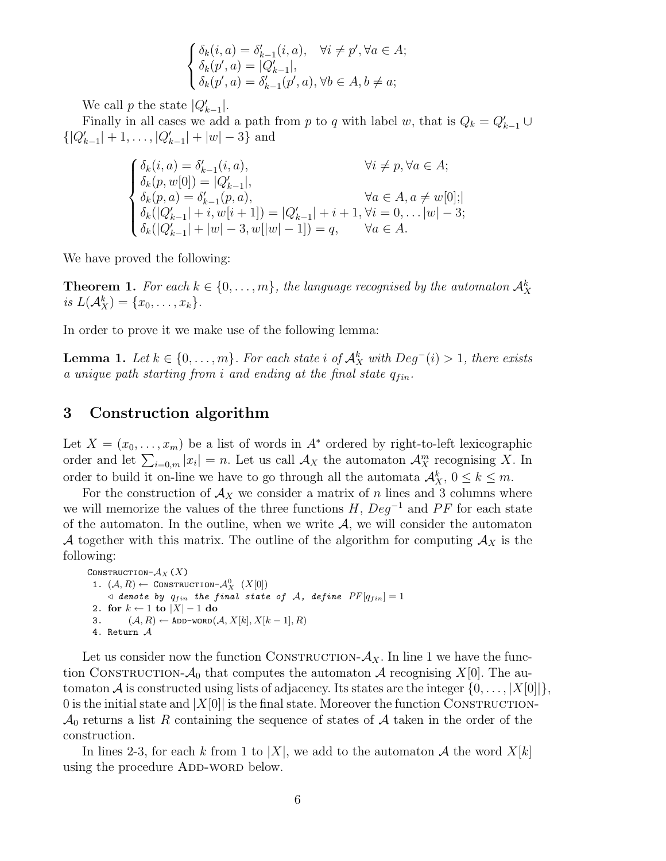$$
\begin{cases} \delta_k(i,a) = \delta'_{k-1}(i,a), \quad \forall i \neq p', \forall a \in A; \\ \delta_k(p',a) = |Q'_{k-1}|, \\ \delta_k(p',a) = \delta'_{k-1}(p',a), \forall b \in A, b \neq a; \end{cases}
$$

We call p the state  $|Q'_{k-1}|$ .

Finally in all cases we add a path from p to q with label w, that is  $Q_k = Q'_{k-1} \cup$  $\{|Q'_{k-1}| + 1, \ldots, |Q'_{k-1}| + |w| - 3\}$  and

$$
\begin{cases} \delta_k(i,a) = \delta'_{k-1}(i,a), & \forall i \neq p, \forall a \in A; \\ \delta_k(p,w[0]) = |Q'_{k-1}|, & \delta_k(p,a) = \delta'_{k-1}(p,a), & \forall a \in A, a \neq w[0]; \\ \delta_k(|Q'_{k-1}| + i, w[i+1]) = |Q'_{k-1}| + i + 1, \forall i = 0, \dots |w| - 3; \\ \delta_k(|Q'_{k-1}| + |w| - 3, w[|w| - 1]) = q, & \forall a \in A. \end{cases}
$$

We have proved the following:

**Theorem 1.** For each  $k \in \{0, ..., m\}$ , the language recognised by the automaton  $\mathcal{A}_X^k$ is  $L(A_X^k) = \{x_0, \ldots, x_k\}.$ 

In order to prove it we make use of the following lemma:

**Lemma 1.** Let  $k \in \{0, ..., m\}$ . For each state i of  $\mathcal{A}_{X}^{k}$  with  $Deg^{-}(i) > 1$ , there exists a unique path starting from i and ending at the final state  $q_{fin}$ .

# 3 Construction algorithm

Let  $X = (x_0, \ldots, x_m)$  be a list of words in  $A^*$  ordered by right-to-left lexicographic order and let  $\sum_{i=0,m} |x_i| = n$ . Let us call  $\mathcal{A}_X$  the automaton  $\mathcal{A}_X^m$  recognising X. In order to build it on-line we have to go through all the automata  $\mathcal{A}_X^k$ ,  $0 \leq k \leq m$ .

For the construction of  $\mathcal{A}_X$  we consider a matrix of n lines and 3 columns where we will memorize the values of the three functions  $H$ ,  $Deg^{-1}$  and PF for each state of the automaton. In the outline, when we write  $A$ , we will consider the automaton A together with this matrix. The outline of the algorithm for computing  $\mathcal{A}_X$  is the following:

```
CONSTRUCTION-A_X (X)
 1. (\mathcal{A}, R) \leftarrow \texttt{Constribution-}\mathcal{A}_X^0 \quad (X[0])\triangleleft denote by q_{fin} the final state of \mathcal{A}, define PF[q_{fin}]=12. for k \leftarrow 1 to |X| - 1 do
3. (\mathcal{A}, R) \leftarrow \texttt{ADD-WORD}(\mathcal{A}, X[k], X[k-1], R)4. Return A
```
Let us consider now the function CONSTRUCTION- $A_X$ . In line 1 we have the function CONSTRUCTION- $\mathcal{A}_0$  that computes the automaton  $\mathcal A$  recognising  $X[0]$ . The automaton A is constructed using lists of adjacency. Its states are the integer  $\{0, \ldots, |X[0]| \}$ , 0 is the initial state and  $|X[0]|$  is the final state. Moreover the function CONSTRUCTION- $\mathcal{A}_0$  returns a list R containing the sequence of states of A taken in the order of the construction.

In lines 2-3, for each k from 1 to |X|, we add to the automaton A the word  $X[k]$ using the procedure ADD-WORD below.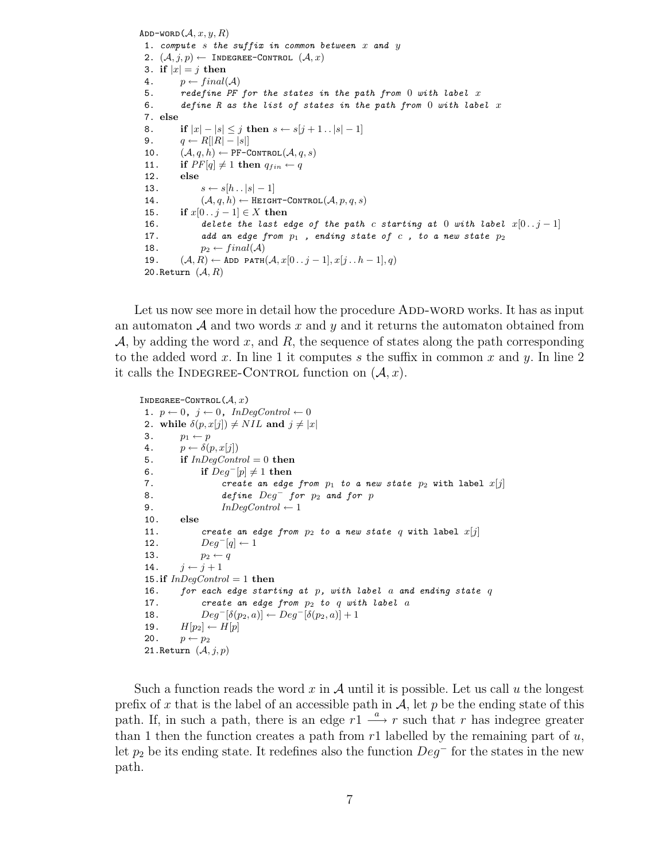ADD-WORD $(A, x, y, R)$ 1. compute s the suffix in common between  $x$  and  $y$ 2.  $(\mathcal{A}, j, p) \leftarrow$  INDEGREE-CONTROL  $(\mathcal{A}, x)$ 3. if  $|x| = j$  then 4.  $p \leftarrow final(\mathcal{A})$ 5. redefine PF for the states in the path from  $0$  with label  $x$ 6. define R as the list of states in the path from 0 with label x 7. else 8. if  $|x| - |s| \leq j$  then  $s \leftarrow s[j+1..|s|-1]$ 9.  $q \leftarrow R[|R| - |s|]$ 10.  $(\mathcal{A}, q, h) \leftarrow \texttt{PF-CONTROL}(\mathcal{A}, q, s)$ 11. if  $PF[q] \neq 1$  then  $q_{fin} \leftarrow q$ 12. else 13.  $s \leftarrow s[h \dots |s| - 1]$ 14.  $(\mathcal{A}, q, h) \leftarrow \text{HEIGHT-CONTROL}(\mathcal{A}, p, q, s)$ 15. if  $x[0.. j - 1] \in X$  then 16. delete the last edge of the path c starting at 0 with label  $x[0..j-1]$ 17. add an edge from  $p_1$ , ending state of c, to a new state  $p_2$ 18.  $p_2 \leftarrow final(\mathcal{A})$ 19.  $(\mathcal{A}, R) \leftarrow \texttt{ADD PATH}(\mathcal{A}, x[0\mathinner{.\,.} j-1], x[j\mathinner{.\,.} h-1], q)$ 20. Return  $(\mathcal{A}, R)$ 

Let us now see more in detail how the procedure ADD-WORD works. It has as input an automaton  $\mathcal A$  and two words x and y and it returns the automaton obtained from  $\mathcal{A}$ , by adding the word x, and R, the sequence of states along the path corresponding to the added word x. In line 1 it computes s the suffix in common x and y. In line 2 it calls the INDEGREE-CONTROL function on  $(A, x)$ .

```
INDEGREE-CONTROL(A, x)1. p \leftarrow 0, j \leftarrow 0, InDegControl \leftarrow 02. while \delta(p, x[j]) \neq NIL and j \neq |x|3. p_1 \leftarrow p4. p \leftarrow \delta(p, x[j])5. if InDegControl = 0 then
6. if Deg^{-}[p] \neq 1 then
7. create an edge from p_1 to a new state p_2 with label x[j]8. define Deg^- for p_2 and for p9. InDegControl \leftarrow 110. else
11. create an edge from p_2 to a new state q with label x[j]12. Deg^{-}[q] \leftarrow 113. p_2 \leftarrow q14. j \leftarrow j + 115.if InDegControl = 1 then
16. for each edge starting at p, with label a and ending state q17. create an edge from p_2 to q with label a
18. Deg^{-}[\delta(p_2, a)] \leftarrow Deg^{-}[\delta(p_2, a)] + 119. H[p_2] \leftarrow H[p]20. p \leftarrow p_221. Return (\mathcal{A}, j, p)
```
Such a function reads the word x in A until it is possible. Let us call u the longest prefix of x that is the label of an accessible path in  $\mathcal{A}$ , let p be the ending state of this path. If, in such a path, there is an edge  $r_1 \stackrel{a}{\longrightarrow} r$  such that r has indegree greater than 1 then the function creates a path from  $r1$  labelled by the remaining part of  $u$ , let  $p_2$  be its ending state. It redefines also the function  $Deg^-$  for the states in the new path.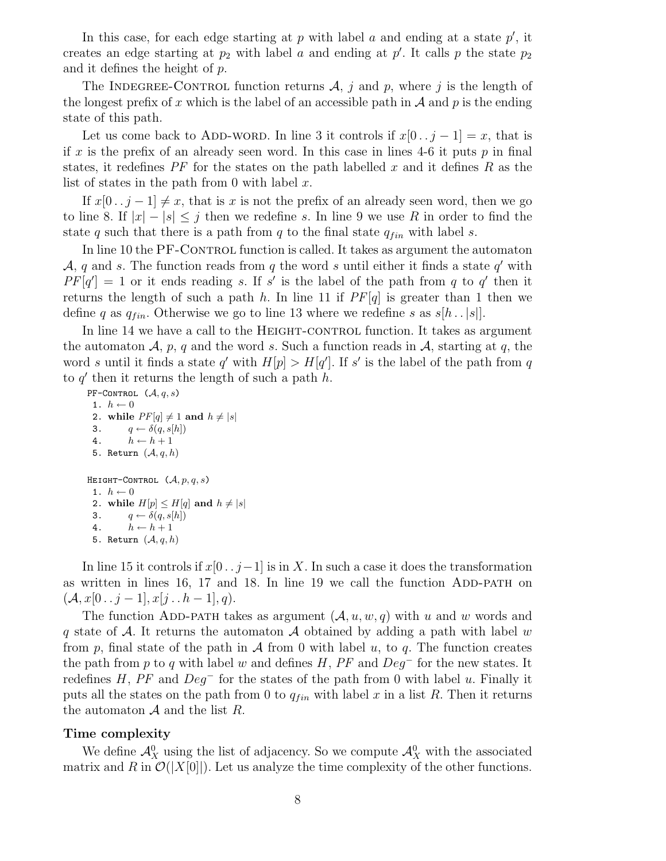In this case, for each edge starting at  $p$  with label  $a$  and ending at a state  $p'$ , it creates an edge starting at  $p_2$  with label a and ending at  $p'$ . It calls p the state  $p_2$ and it defines the height of p.

The INDEGREE-CONTROL function returns  $\mathcal{A}, j$  and p, where j is the length of the longest prefix of x which is the label of an accessible path in  $A$  and p is the ending state of this path.

Let us come back to ADD-WORD. In line 3 it controls if  $x[0..j-1] = x$ , that is if x is the prefix of an already seen word. In this case in lines 4-6 it puts  $p$  in final states, it redefines  $PF$  for the states on the path labelled x and it defines R as the list of states in the path from 0 with label  $x$ .

If  $x[0 \tcdot i-1] \neq x$ , that is x is not the prefix of an already seen word, then we go to line 8. If  $|x| - |s| \leq j$  then we redefine s. In line 9 we use R in order to find the state q such that there is a path from q to the final state  $q_{fin}$  with label s.

In line 10 the PF-CONTROL function is called. It takes as argument the automaton  $A, q$  and s. The function reads from q the word s until either it finds a state  $q'$  with  $PF[q'] = 1$  or it ends reading s. If s' is the label of the path from q to q' then it returns the length of such a path h. In line 11 if  $PF[q]$  is greater than 1 then we define q as  $q_{fin}$ . Otherwise we go to line 13 where we redefine s as  $s[h \tcdot |s|]$ .

In line 14 we have a call to the HEIGHT-CONTROL function. It takes as argument the automaton  $A$ , p, q and the word s. Such a function reads in  $A$ , starting at q, the word s until it finds a state q' with  $H[p] > H[q']$ . If s' is the label of the path from q to  $q'$  then it returns the length of such a path  $h$ .

PF-CONTROL  $(\mathcal{A}, q, s)$ 1.  $h \leftarrow 0$ 2. while  $PF[q] \neq 1$  and  $h \neq |s|$ 3.  $q \leftarrow \delta(q, s[h])$ 4.  $h \leftarrow h + 1$ 5. Return  $(A, q, h)$ HEIGHT-CONTROL  $(\mathcal{A}, p, q, s)$ 1.  $h \leftarrow 0$ 2. while  $H[p] \leq H[q]$  and  $h \neq |s|$ 3.  $q \leftarrow \delta(q, s[h])$ 4.  $h \leftarrow h + 1$ 5. Return  $(A, q, h)$ 

In line 15 it controls if  $x[0 \tcdot j-1]$  is in X. In such a case it does the transformation as written in lines  $16$ ,  $17$  and  $18$ . In line  $19$  we call the function ADD-PATH on  $({\cal A}, x[0\, \ldots\, j-1], x[j\, \ldots\, h-1], q).$ 

The function ADD-PATH takes as argument  $(A, u, w, q)$  with u and w words and q state of A. It returns the automaton A obtained by adding a path with label w from p, final state of the path in  $\mathcal A$  from 0 with label u, to q. The function creates the path from p to q with label w and defines  $H$ ,  $PF$  and  $Deg<sup>-</sup>$  for the new states. It redefines H, PF and  $Deg^-$  for the states of the path from 0 with label u. Finally it puts all the states on the path from 0 to  $q_{fin}$  with label x in a list R. Then it returns the automaton  $A$  and the list  $R$ .

#### Time complexity

We define  $\mathcal{A}_{X}^{0}$  using the list of adjacency. So we compute  $\mathcal{A}_{X}^{0}$  with the associated matrix and R in  $\mathcal{O}(|X[0]|)$ . Let us analyze the time complexity of the other functions.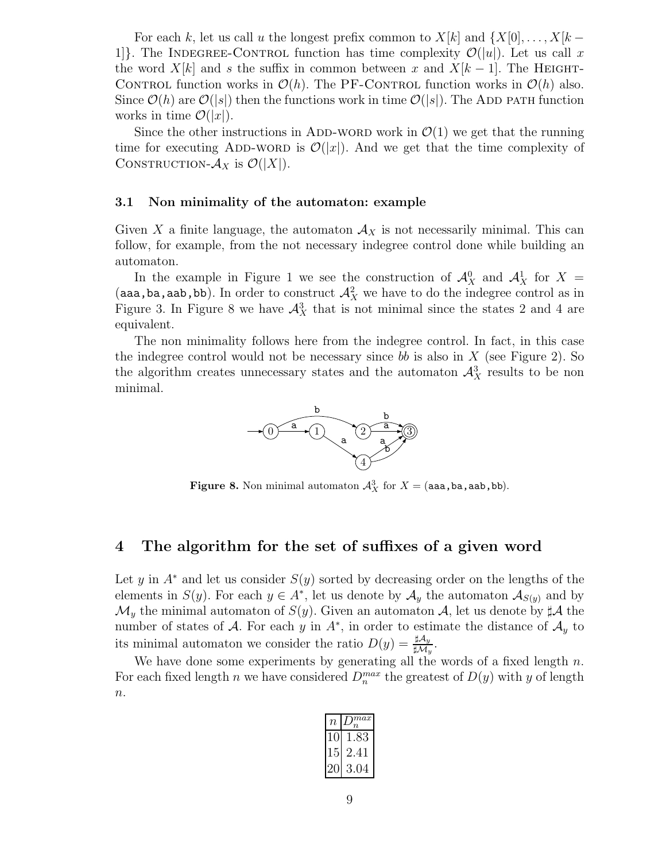For each k, let us call u the longest prefix common to  $X[k]$  and  $\{X[0], \ldots, X[k-1]\}$ 1. The INDEGREE-CONTROL function has time complexity  $\mathcal{O}(|u|)$ . Let us call x the word  $X[k]$  and s the suffix in common between x and  $X[k-1]$ . The HEIGHT-CONTROL function works in  $\mathcal{O}(h)$ . The PF-CONTROL function works in  $\mathcal{O}(h)$  also. Since  $\mathcal{O}(h)$  are  $\mathcal{O}(s)$  then the functions work in time  $\mathcal{O}(s)$ . The ADD path function works in time  $\mathcal{O}(|x|)$ .

Since the other instructions in ADD-WORD work in  $\mathcal{O}(1)$  we get that the running time for executing ADD-WORD is  $\mathcal{O}(|x|)$ . And we get that the time complexity of CONSTRUCTION- $\mathcal{A}_X$  is  $\mathcal{O}(|X|)$ .

#### 3.1 Non minimality of the automaton: example

Given X a finite language, the automaton  $A<sub>X</sub>$  is not necessarily minimal. This can follow, for example, from the not necessary indegree control done while building an automaton.

In the example in Figure 1 we see the construction of  $\mathcal{A}_{X}^{0}$  and  $\mathcal{A}_{X}^{1}$  for  $X =$ (aaa,ba,aab,bb). In order to construct  $\mathcal{A}_X^2$  we have to do the indegree control as in Figure 3. In Figure 8 we have  $\mathcal{A}^3$  that is not minimal since the states 2 and 4 are equivalent.

The non minimality follows here from the indegree control. In fact, in this case the indegree control would not be necessary since bb is also in  $X$  (see Figure 2). So the algorithm creates unnecessary states and the automaton  $\mathcal{A}^3$  results to be non minimal.



**Figure 8.** Non minimal automaton  $\mathcal{A}_X^3$  for  $X = ($ aaa,ba,aab,bb).

## 4 The algorithm for the set of suffixes of a given word

Let y in  $A^*$  and let us consider  $S(y)$  sorted by decreasing order on the lengths of the elements in  $S(y)$ . For each  $y \in A^*$ , let us denote by  $\mathcal{A}_y$  the automaton  $\mathcal{A}_{S(y)}$  and by  $\mathcal{M}_y$  the minimal automaton of  $S(y)$ . Given an automaton  $\mathcal{A}$ , let us denote by  $\sharp \mathcal{A}$  the number of states of A. For each y in  $A^*$ , in order to estimate the distance of  $\mathcal{A}_y$  to its minimal automaton we consider the ratio  $D(y) = \frac{\sharp \mathcal{A}_y}{\sharp \mathcal{M}_y}$ .

We have done some experiments by generating all the words of a fixed length  $n$ . For each fixed length n we have considered  $D_n^{max}$  the greatest of  $D(y)$  with y of length  $\boldsymbol{n}.$ 

| 7, | $_{max}$<br>Ί. |
|----|----------------|
|    |                |
|    | Ŧ              |
|    |                |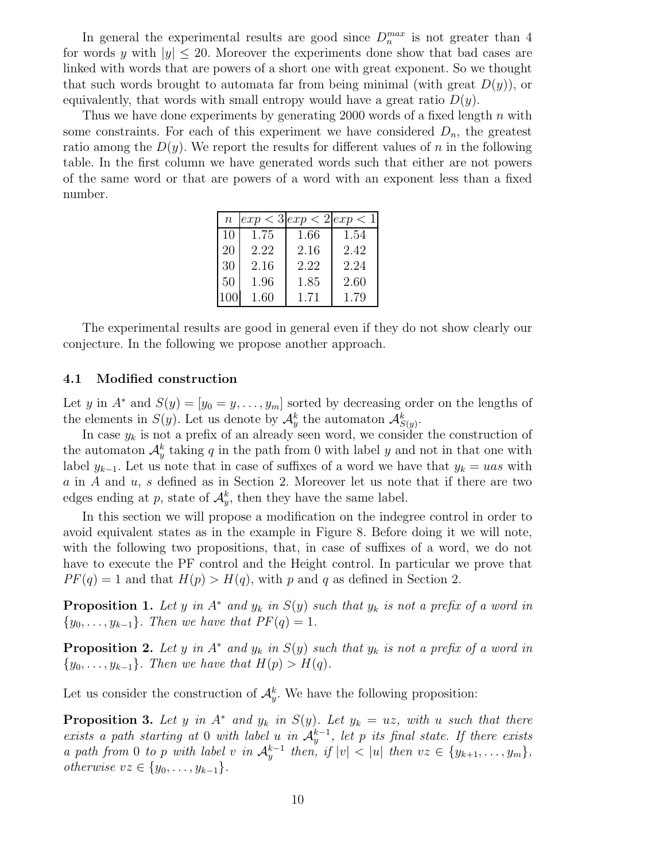In general the experimental results are good since  $D_n^{max}$  is not greater than 4 for words y with  $|y| \leq 20$ . Moreover the experiments done show that bad cases are linked with words that are powers of a short one with great exponent. So we thought that such words brought to automata far from being minimal (with great  $D(y)$ ), or equivalently, that words with small entropy would have a great ratio  $D(y)$ .

Thus we have done experiments by generating 2000 words of a fixed length  $n$  with some constraints. For each of this experiment we have considered  $D_n$ , the greatest ratio among the  $D(y)$ . We report the results for different values of n in the following table. In the first column we have generated words such that either are not powers of the same word or that are powers of a word with an exponent less than a fixed number.

|    | $n \,   exp < 3   exp < 2   exp < 1  $ |      |      |
|----|----------------------------------------|------|------|
| 10 | 1.75                                   | 1.66 | 1.54 |
| 20 | 2.22                                   | 2.16 | 2.42 |
| 30 | 2.16                                   | 2.22 | 2.24 |
| 50 | 1.96                                   | 1.85 | 2.60 |
|    | 1.60                                   | 1.71 | 1.79 |

The experimental results are good in general even if they do not show clearly our conjecture. In the following we propose another approach.

#### 4.1 Modified construction

Let y in  $A^*$  and  $S(y) = [y_0 = y, \ldots, y_m]$  sorted by decreasing order on the lengths of the elements in  $S(y)$ . Let us denote by  $\mathcal{A}_{y}^{k}$  the automaton  $\mathcal{A}_{S(y)}^{k}$ .

In case  $y_k$  is not a prefix of an already seen word, we consider the construction of the automaton  $\mathcal{A}_{y}^{k}$  taking q in the path from 0 with label y and not in that one with label  $y_{k-1}$ . Let us note that in case of suffixes of a word we have that  $y_k = uas$  with a in A and u, s defined as in Section 2. Moreover let us note that if there are two edges ending at p, state of  $\mathcal{A}_{y}^{k}$ , then they have the same label.

In this section we will propose a modification on the indegree control in order to avoid equivalent states as in the example in Figure 8. Before doing it we will note, with the following two propositions, that, in case of suffixes of a word, we do not have to execute the PF control and the Height control. In particular we prove that  $PF(q) = 1$  and that  $H(p) > H(q)$ , with p and q as defined in Section 2.

**Proposition 1.** Let y in  $A^*$  and  $y_k$  in  $S(y)$  such that  $y_k$  is not a prefix of a word in  $\{y_0, \ldots, y_{k-1}\}.$  Then we have that  $PF(q) = 1$ .

**Proposition 2.** Let y in  $A^*$  and  $y_k$  in  $S(y)$  such that  $y_k$  is not a prefix of a word in  ${y_0, \ldots, y_{k-1}}$ . Then we have that  $H(p) > H(q)$ .

Let us consider the construction of  $\mathcal{A}_{y}^{k}$ . We have the following proposition:

**Proposition 3.** Let y in  $A^*$  and  $y_k$  in  $S(y)$ . Let  $y_k = uz$ , with u such that there exists a path starting at 0 with label u in  $\mathcal{A}_y^{k-1}$ , let p its final state. If there exists a path from 0 to p with label v in  $\mathcal{A}_y^{k-1}$  then, if  $|v| < |u|$  then  $vz \in \{y_{k+1}, \ldots, y_m\}$ , *otherwise*  $vz \in \{y_0, \ldots, y_{k-1}\}.$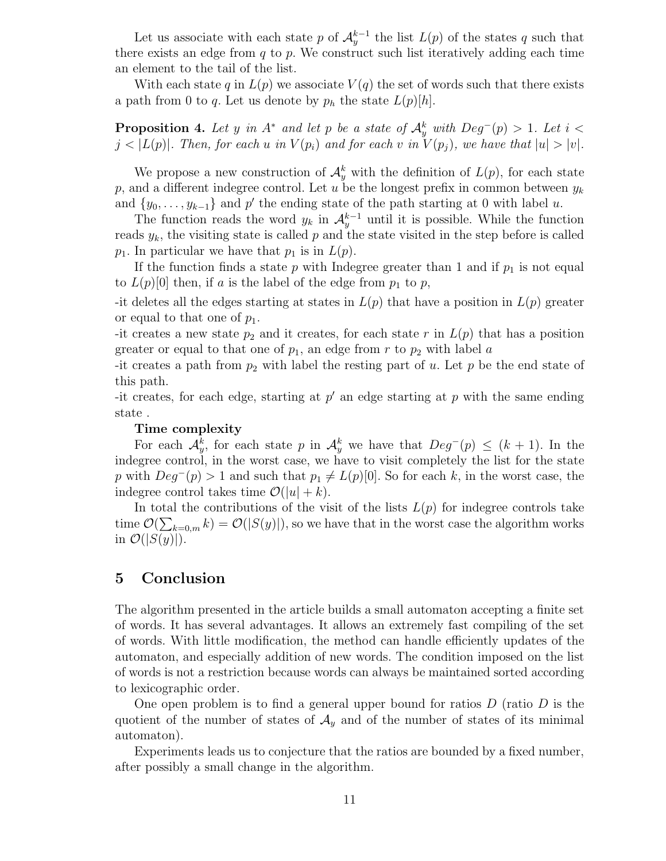Let us associate with each state p of  $\mathcal{A}_y^{k-1}$  the list  $L(p)$  of the states q such that there exists an edge from  $q$  to  $p$ . We construct such list iteratively adding each time an element to the tail of the list.

With each state q in  $L(p)$  we associate  $V(q)$  the set of words such that there exists a path from 0 to q. Let us denote by  $p_h$  the state  $L(p)[h]$ .

**Proposition 4.** Let y in  $A^*$  and let p be a state of  $\mathcal{A}_y^k$  with  $Deg^-(p) > 1$ . Let  $i <$  $j < |L(p)|$ . Then, for each u in  $V(p_i)$  and for each v in  $V(p_j)$ , we have that  $|u| > |v|$ .

We propose a new construction of  $\mathcal{A}_{y}^{k}$  with the definition of  $L(p)$ , for each state p, and a different indegree control. Let u be the longest prefix in common between  $y_k$ and  $\{y_0, \ldots, y_{k-1}\}\$  and  $p'$  the ending state of the path starting at 0 with label u.

The function reads the word  $y_k$  in  $\mathcal{A}_y^{k-1}$  until it is possible. While the function reads  $y_k$ , the visiting state is called p and the state visited in the step before is called  $p_1$ . In particular we have that  $p_1$  is in  $L(p)$ .

If the function finds a state  $p$  with Indegree greater than 1 and if  $p_1$  is not equal to  $L(p)[0]$  then, if a is the label of the edge from  $p_1$  to p,

-it deletes all the edges starting at states in  $L(p)$  that have a position in  $L(p)$  greater or equal to that one of  $p_1$ .

-it creates a new state  $p_2$  and it creates, for each state r in  $L(p)$  that has a position greater or equal to that one of  $p_1$ , an edge from r to  $p_2$  with label a

-it creates a path from  $p_2$  with label the resting part of u. Let p be the end state of this path.

-it creates, for each edge, starting at  $p'$  an edge starting at  $p$  with the same ending state .

#### Time complexity

For each  $\mathcal{A}_{y}^{k}$ , for each state p in  $\mathcal{A}_{y}^{k}$  we have that  $Deg^{-}(p) \leq (k+1)$ . In the indegree control, in the worst case, we have to visit completely the list for the state p with  $Deg^-(p) > 1$  and such that  $p_1 \neq L(p)[0]$ . So for each k, in the worst case, the indegree control takes time  $\mathcal{O}(|u|+k)$ .

In total the contributions of the visit of the lists  $L(p)$  for indegree controls take time  $\mathcal{O}(\sum_{k=0,m} k) = \mathcal{O}(|S(y)|)$ , so we have that in the worst case the algorithm works in  $\mathcal{O}(|S(y)|)$ .

# 5 Conclusion

The algorithm presented in the article builds a small automaton accepting a finite set of words. It has several advantages. It allows an extremely fast compiling of the set of words. With little modification, the method can handle efficiently updates of the automaton, and especially addition of new words. The condition imposed on the list of words is not a restriction because words can always be maintained sorted according to lexicographic order.

One open problem is to find a general upper bound for ratios  $D$  (ratio  $D$  is the quotient of the number of states of  $\mathcal{A}_y$  and of the number of states of its minimal automaton).

Experiments leads us to conjecture that the ratios are bounded by a fixed number, after possibly a small change in the algorithm.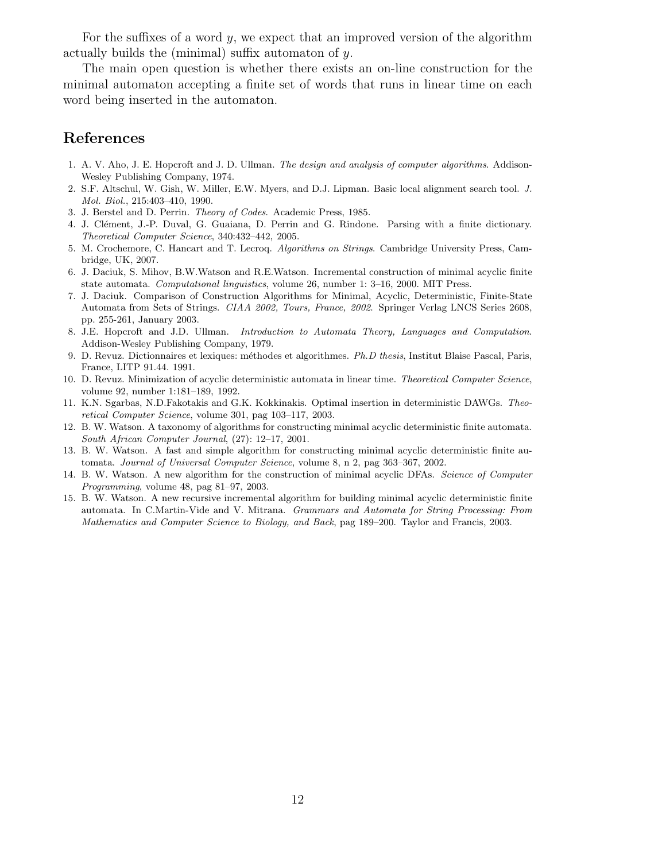For the suffixes of a word y, we expect that an improved version of the algorithm actually builds the (minimal) suffix automaton of y.

The main open question is whether there exists an on-line construction for the minimal automaton accepting a finite set of words that runs in linear time on each word being inserted in the automaton.

# References

- 1. A. V. Aho, J. E. Hopcroft and J. D. Ullman. The design and analysis of computer algorithms. Addison-Wesley Publishing Company, 1974.
- 2. S.F. Altschul, W. Gish, W. Miller, E.W. Myers, and D.J. Lipman. Basic local alignment search tool. J. Mol. Biol., 215:403–410, 1990.
- 3. J. Berstel and D. Perrin. Theory of Codes. Academic Press, 1985.
- 4. J. Clément, J.-P. Duval, G. Guaiana, D. Perrin and G. Rindone. Parsing with a finite dictionary. Theoretical Computer Science, 340:432–442, 2005.
- 5. M. Crochemore, C. Hancart and T. Lecroq. Algorithms on Strings. Cambridge University Press, Cambridge, UK, 2007.
- 6. J. Daciuk, S. Mihov, B.W.Watson and R.E.Watson. Incremental construction of minimal acyclic finite state automata. Computational linguistics, volume 26, number 1: 3–16, 2000. MIT Press.
- 7. J. Daciuk. Comparison of Construction Algorithms for Minimal, Acyclic, Deterministic, Finite-State Automata from Sets of Strings. CIAA 2002, Tours, France, 2002. Springer Verlag LNCS Series 2608, pp. 255-261, January 2003.
- 8. J.E. Hopcroft and J.D. Ullman. Introduction to Automata Theory, Languages and Computation. Addison-Wesley Publishing Company, 1979.
- 9. D. Revuz. Dictionnaires et lexiques: méthodes et algorithmes. *Ph.D thesis*, Institut Blaise Pascal, Paris, France, LITP 91.44. 1991.
- 10. D. Revuz. Minimization of acyclic deterministic automata in linear time. Theoretical Computer Science, volume 92, number 1:181–189, 1992.
- 11. K.N. Sgarbas, N.D.Fakotakis and G.K. Kokkinakis. Optimal insertion in deterministic DAWGs. Theoretical Computer Science, volume 301, pag 103–117, 2003.
- 12. B. W. Watson. A taxonomy of algorithms for constructing minimal acyclic deterministic finite automata. South African Computer Journal, (27): 12–17, 2001.
- 13. B. W. Watson. A fast and simple algorithm for constructing minimal acyclic deterministic finite automata. Journal of Universal Computer Science, volume 8, n 2, pag 363–367, 2002.
- 14. B. W. Watson. A new algorithm for the construction of minimal acyclic DFAs. Science of Computer Programming, volume 48, pag 81–97, 2003.
- 15. B. W. Watson. A new recursive incremental algorithm for building minimal acyclic deterministic finite automata. In C.Martin-Vide and V. Mitrana. Grammars and Automata for String Processing: From Mathematics and Computer Science to Biology, and Back, pag 189–200. Taylor and Francis, 2003.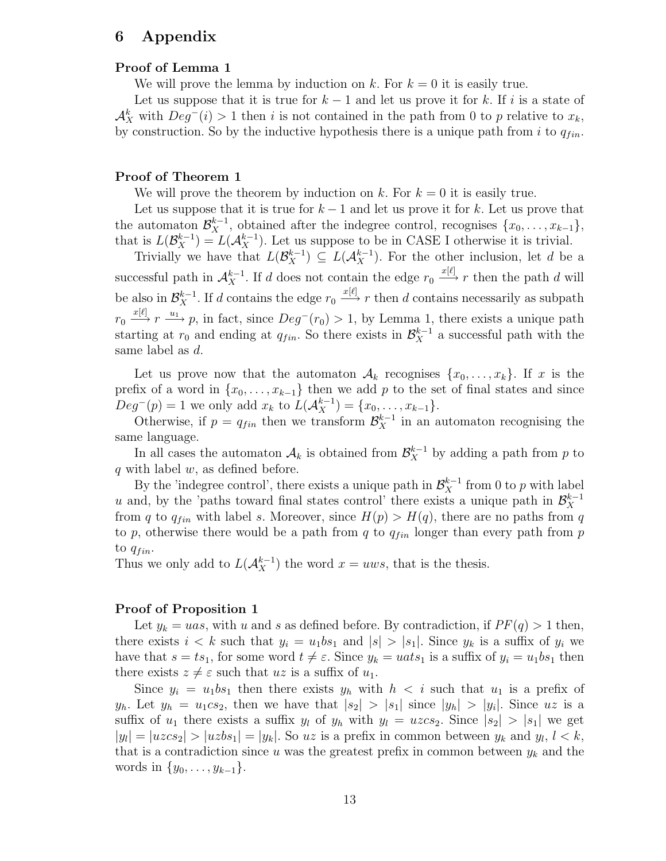# 6 Appendix

### Proof of Lemma 1

We will prove the lemma by induction on k. For  $k = 0$  it is easily true.

Let us suppose that it is true for  $k-1$  and let us prove it for k. If i is a state of  $\mathcal{A}_{X}^{k}$  with  $Deg^{-}(i) > 1$  then i is not contained in the path from 0 to p relative to  $x_{k}$ , by construction. So by the inductive hypothesis there is a unique path from i to  $q_{fin}$ .

### Proof of Theorem 1

We will prove the theorem by induction on k. For  $k = 0$  it is easily true.

Let us suppose that it is true for  $k-1$  and let us prove it for k. Let us prove that the automaton  $\mathcal{B}_{X}^{k-1}$ , obtained after the indegree control, recognises  $\{x_0, \ldots, x_{k-1}\},$ that is  $L(\mathcal{B}_{X}^{k-1}) = L(\mathcal{A}_{X}^{k-1})$ . Let us suppose to be in CASE I otherwise it is trivial.

Trivially we have that  $L(\mathcal{B}_{X}^{k-1}) \subseteq L(\mathcal{A}_{X}^{k-1})$ . For the other inclusion, let d be a successful path in  $\mathcal{A}_X^{k-1}$ . If d does not contain the edge  $r_0 \stackrel{x[\ell]}{\longrightarrow} r$  then the path d will be also in  $\mathcal{B}_{X}^{k-1}$ . If d contains the edge  $r_0 \stackrel{x[\ell]}{\longrightarrow} r$  then d contains necessarily as subpath  $r_0 \stackrel{x[\ell]}{\longrightarrow} r \stackrel{u_1}{\longrightarrow} p$ , in fact, since  $Deg^-(r_0) > 1$ , by Lemma 1, there exists a unique path starting at  $r_0$  and ending at  $q_{fin}$ . So there exists in  $\mathcal{B}_{X}^{k-1}$  a successful path with the same label as d.

Let us prove now that the automaton  $A_k$  recognises  $\{x_0, \ldots, x_k\}$ . If x is the prefix of a word in  $\{x_0, \ldots, x_{k-1}\}\$  then we add p to the set of final states and since  $Deg^{-}(p) = 1$  we only add  $x_k$  to  $L(\mathcal{A}_{X}^{k-1}) = \{x_0, \ldots, x_{k-1}\}.$ 

Otherwise, if  $p = q_{fin}$  then we transform  $\mathcal{B}_{X}^{k-1}$  in an automaton recognising the same language.

In all cases the automaton  $A_k$  is obtained from  $\mathcal{B}_{X}^{k-1}$  by adding a path from p to q with label  $w$ , as defined before.

By the 'indegree control', there exists a unique path in  $\mathcal{B}_{X}^{k-1}$  from 0 to p with label u and, by the 'paths toward final states control' there exists a unique path in  $\mathcal{B}_{X}^{k-1}$  $\boldsymbol{X}$ from q to  $q_{fin}$  with label s. Moreover, since  $H(p) > H(q)$ , there are no paths from q to p, otherwise there would be a path from q to  $q_{fin}$  longer than every path from p to  $q_{fin}$ .

Thus we only add to  $L(A_X^{k-1})$  the word  $x = uws$ , that is the thesis.

### Proof of Proposition 1

Let  $y_k = uas$ , with u and s as defined before. By contradiction, if  $PF(q) > 1$  then, there exists  $i < k$  such that  $y_i = u_1bs_1$  and  $|s| > |s_1|$ . Since  $y_k$  is a suffix of  $y_i$  we have that  $s = ts_1$ , for some word  $t \neq \varepsilon$ . Since  $y_k = uats_1$  is a suffix of  $y_i = u_1bs_1$  then there exists  $z \neq \varepsilon$  such that uz is a suffix of  $u_1$ .

Since  $y_i = u_1 b s_1$  then there exists  $y_h$  with  $h < i$  such that  $u_1$  is a prefix of  $y_h$ . Let  $y_h = u_1 c s_2$ , then we have that  $|s_2| > |s_1|$  since  $|y_h| > |y_i|$ . Since uz is a suffix of  $u_1$  there exists a suffix  $y_l$  of  $y_h$  with  $y_l = uzc_s$ . Since  $|s_2| > |s_1|$  we get  $|y_l| = |u \rangle \langle u \rangle \langle u \rangle = |u \rangle \langle u \rangle = |y_k|$ . So  $uz$  is a prefix in common between  $y_k$  and  $y_l$ ,  $l \leq k$ , that is a contradiction since u was the greatest prefix in common between  $y_k$  and the words in  $\{y_0, \ldots, y_{k-1}\}.$